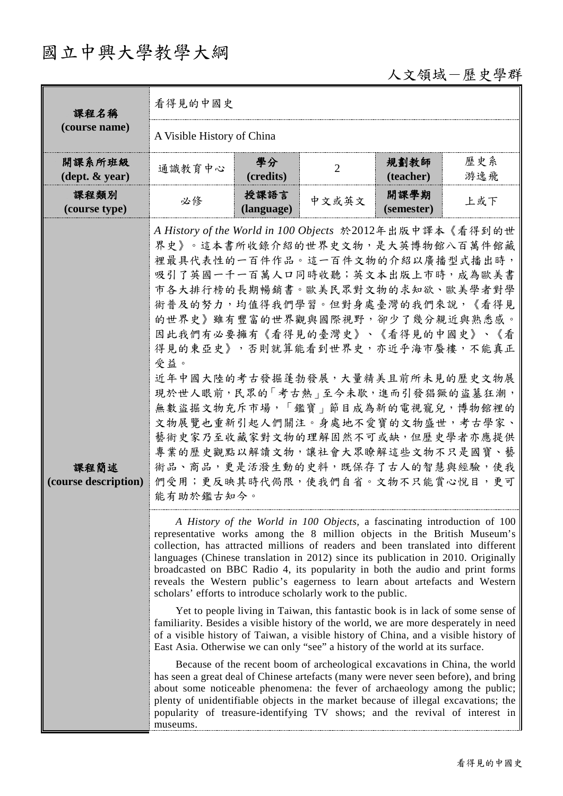## 國立中興大學教學大綱

## 人文領域-歷史學群

| 課程名稱<br>(course name)                      | 看得見的中國史                                                                                                                                                                                                                                                                                                                                                                                                                                                                                                                                                                                                                                                                                                                                                                                                                                                                                                          |                    |                |                    |            |  |  |
|--------------------------------------------|------------------------------------------------------------------------------------------------------------------------------------------------------------------------------------------------------------------------------------------------------------------------------------------------------------------------------------------------------------------------------------------------------------------------------------------------------------------------------------------------------------------------------------------------------------------------------------------------------------------------------------------------------------------------------------------------------------------------------------------------------------------------------------------------------------------------------------------------------------------------------------------------------------------|--------------------|----------------|--------------------|------------|--|--|
|                                            | A Visible History of China                                                                                                                                                                                                                                                                                                                                                                                                                                                                                                                                                                                                                                                                                                                                                                                                                                                                                       |                    |                |                    |            |  |  |
| 開課系所班級<br>$(\text{dept.} \& \text{ year})$ | 通識教育中心                                                                                                                                                                                                                                                                                                                                                                                                                                                                                                                                                                                                                                                                                                                                                                                                                                                                                                           | 學分<br>(credits)    | $\overline{2}$ | 規劃教師<br>(teacher)  | 歷史系<br>游逸飛 |  |  |
| 課程類別<br>(course type)                      | 必修                                                                                                                                                                                                                                                                                                                                                                                                                                                                                                                                                                                                                                                                                                                                                                                                                                                                                                               | 授課語言<br>(language) | 中文或英文          | 開課學期<br>(semester) | 上或下        |  |  |
| 課程簡述<br>(course description)               | A History of the World in 100 Objects 於2012年出版中譯本《看得到的世<br>界史》。這本書所收錄介紹的世界史文物,是大英博物館八百萬件館藏<br>裡最具代表性的一百件作品。這一百件文物的介紹以廣播型式播出時,<br>吸引了英國一千一百萬人口同時收聽;英文本出版上市時,成為歐美書<br>市各大排行榜的長期暢銷書。歐美民眾對文物的求知欲、歐美學者對學<br>術普及的努力,均值得我們學習。但對身處臺灣的我們來說,《看得見<br>的世界史》雖有豐富的世界觀與國際視野,卻少了幾分親近與熟悉感。<br>因此我們有必要擁有《看得見的臺灣史》、《看得見的中國史》、《看<br>得見的東亞史》, 否則就算能看到世界史, 亦近乎海市蜃樓, 不能真正<br>受益。<br>近年中國大陸的考古發掘蓬勃發展,大量精美且前所未見的歷史文物展<br>現於世人眼前,民眾的「考古熱」至今未歇,進而引發猖獗的盜墓狂潮,<br>無數盜掘文物充斥市場,「鑑寶」節目成為新的電視寵兒,博物館裡的<br>文物展覽也重新引起人們關注。身處地不愛寶的文物盛世,考古學家、<br>藝術史家乃至收藏家對文物的理解固然不可或缺,但歷史學者亦應提供<br>專業的歷史觀點以解讀文物,讓社會大眾瞭解這些文物不只是國寶、藝<br>術品、商品,更是活潑生動的史料,既保存了古人的智慧與經驗,使我<br>們受用;更反映其時代侷限,使我們自省。文物不只能賞心悅目,更可<br>能有助於鑑古知今。                                                                                                                                                                                                                                                  |                    |                |                    |            |  |  |
|                                            | A History of the World in 100 Objects, a fascinating introduction of 100<br>representative works among the 8 million objects in the British Museum's<br>collection, has attracted millions of readers and been translated into different<br>languages (Chinese translation in 2012) since its publication in 2010. Originally<br>broadcasted on BBC Radio 4, its popularity in both the audio and print forms<br>reveals the Western public's eagerness to learn about artefacts and Western<br>scholars' efforts to introduce scholarly work to the public.<br>Yet to people living in Taiwan, this fantastic book is in lack of some sense of<br>familiarity. Besides a visible history of the world, we are more desperately in need<br>of a visible history of Taiwan, a visible history of China, and a visible history of<br>East Asia. Otherwise we can only "see" a history of the world at its surface. |                    |                |                    |            |  |  |
|                                            | Because of the recent boom of archeological excavations in China, the world<br>has seen a great deal of Chinese artefacts (many were never seen before), and bring<br>about some noticeable phenomena: the fever of archaeology among the public;<br>plenty of unidentifiable objects in the market because of illegal excavations; the<br>popularity of treasure-identifying TV shows; and the revival of interest in<br>museums.                                                                                                                                                                                                                                                                                                                                                                                                                                                                               |                    |                |                    |            |  |  |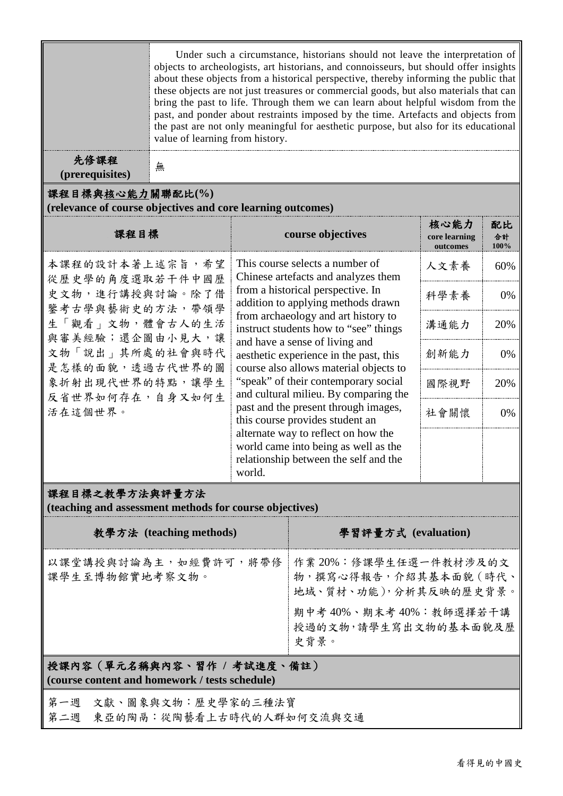|                                                                                                                                                                                                        | Under such a circumstance, historians should not leave the interpretation of<br>objects to archeologists, art historians, and connoisseurs, but should offer insights<br>about these objects from a historical perspective, thereby informing the public that<br>these objects are not just treasures or commercial goods, but also materials that can<br>bring the past to life. Through them we can learn about helpful wisdom from the<br>past, and ponder about restraints imposed by the time. Artefacts and objects from<br>the past are not only meaningful for aesthetic purpose, but also for its educational<br>value of learning from history. |                                                                                                                                                                                                                                                                                                                                                                                                                                                                                                                                                                                                                                                       |                                                                        |      |                  |  |  |  |  |  |
|--------------------------------------------------------------------------------------------------------------------------------------------------------------------------------------------------------|-----------------------------------------------------------------------------------------------------------------------------------------------------------------------------------------------------------------------------------------------------------------------------------------------------------------------------------------------------------------------------------------------------------------------------------------------------------------------------------------------------------------------------------------------------------------------------------------------------------------------------------------------------------|-------------------------------------------------------------------------------------------------------------------------------------------------------------------------------------------------------------------------------------------------------------------------------------------------------------------------------------------------------------------------------------------------------------------------------------------------------------------------------------------------------------------------------------------------------------------------------------------------------------------------------------------------------|------------------------------------------------------------------------|------|------------------|--|--|--|--|--|
| 先修課程<br>(prerequisites)                                                                                                                                                                                | 無                                                                                                                                                                                                                                                                                                                                                                                                                                                                                                                                                                                                                                                         |                                                                                                                                                                                                                                                                                                                                                                                                                                                                                                                                                                                                                                                       |                                                                        |      |                  |  |  |  |  |  |
| 課程目標與核心能力關聯配比(%)<br>(relevance of course objectives and core learning outcomes)                                                                                                                        |                                                                                                                                                                                                                                                                                                                                                                                                                                                                                                                                                                                                                                                           |                                                                                                                                                                                                                                                                                                                                                                                                                                                                                                                                                                                                                                                       |                                                                        |      |                  |  |  |  |  |  |
| 課程目標                                                                                                                                                                                                   |                                                                                                                                                                                                                                                                                                                                                                                                                                                                                                                                                                                                                                                           |                                                                                                                                                                                                                                                                                                                                                                                                                                                                                                                                                                                                                                                       | course objectives                                                      |      | 配比<br>合計<br>100% |  |  |  |  |  |
| 本課程的設計本著上述宗旨,希望<br>從歷史學的角度選取若干件中國歷<br>史文物,進行講授與討論。除了借<br>鑒考古學與藝術史的方法,帶領學<br>生「觀看」文物, 體會古人的生活<br>與審美經驗;還企圖由小見大,讓<br>文物「說出」其所處的社會與時代<br>是怎樣的面貌,透過古代世界的圖<br>象折射出現代世界的特點,讓學生<br>反省世界如何存在,自身又如何生<br>活在這個世界。 |                                                                                                                                                                                                                                                                                                                                                                                                                                                                                                                                                                                                                                                           | This course selects a number of<br>Chinese artefacts and analyzes them<br>from a historical perspective. In<br>addition to applying methods drawn<br>from archaeology and art history to<br>instruct students how to "see" things<br>and have a sense of living and<br>aesthetic experience in the past, this<br>course also allows material objects to<br>"speak" of their contemporary social<br>and cultural milieu. By comparing the<br>past and the present through images,<br>this course provides student an<br>alternate way to reflect on how the<br>world came into being as well as the<br>relationship between the self and the<br>world. |                                                                        | 人文素養 | 60%              |  |  |  |  |  |
|                                                                                                                                                                                                        |                                                                                                                                                                                                                                                                                                                                                                                                                                                                                                                                                                                                                                                           |                                                                                                                                                                                                                                                                                                                                                                                                                                                                                                                                                                                                                                                       |                                                                        | 科學素養 | 0%               |  |  |  |  |  |
|                                                                                                                                                                                                        |                                                                                                                                                                                                                                                                                                                                                                                                                                                                                                                                                                                                                                                           |                                                                                                                                                                                                                                                                                                                                                                                                                                                                                                                                                                                                                                                       |                                                                        | 溝通能力 | 20%              |  |  |  |  |  |
|                                                                                                                                                                                                        |                                                                                                                                                                                                                                                                                                                                                                                                                                                                                                                                                                                                                                                           |                                                                                                                                                                                                                                                                                                                                                                                                                                                                                                                                                                                                                                                       |                                                                        | 創新能力 | 0%               |  |  |  |  |  |
|                                                                                                                                                                                                        |                                                                                                                                                                                                                                                                                                                                                                                                                                                                                                                                                                                                                                                           |                                                                                                                                                                                                                                                                                                                                                                                                                                                                                                                                                                                                                                                       |                                                                        | 國際視野 | 20%              |  |  |  |  |  |
|                                                                                                                                                                                                        |                                                                                                                                                                                                                                                                                                                                                                                                                                                                                                                                                                                                                                                           |                                                                                                                                                                                                                                                                                                                                                                                                                                                                                                                                                                                                                                                       |                                                                        | 社會關懷 | 0%               |  |  |  |  |  |
|                                                                                                                                                                                                        |                                                                                                                                                                                                                                                                                                                                                                                                                                                                                                                                                                                                                                                           |                                                                                                                                                                                                                                                                                                                                                                                                                                                                                                                                                                                                                                                       |                                                                        |      |                  |  |  |  |  |  |
| 課程目標之教學方法與評量方法<br>(teaching and assessment methods for course objectives)                                                                                                                              |                                                                                                                                                                                                                                                                                                                                                                                                                                                                                                                                                                                                                                                           |                                                                                                                                                                                                                                                                                                                                                                                                                                                                                                                                                                                                                                                       |                                                                        |      |                  |  |  |  |  |  |
| 教學方法 (teaching methods)                                                                                                                                                                                |                                                                                                                                                                                                                                                                                                                                                                                                                                                                                                                                                                                                                                                           |                                                                                                                                                                                                                                                                                                                                                                                                                                                                                                                                                                                                                                                       | 學習評量方式 (evaluation)                                                    |      |                  |  |  |  |  |  |
| 以課堂講授與討論為主,如經費許可,將帶修<br>課學生至博物館實地考察文物。                                                                                                                                                                 |                                                                                                                                                                                                                                                                                                                                                                                                                                                                                                                                                                                                                                                           |                                                                                                                                                                                                                                                                                                                                                                                                                                                                                                                                                                                                                                                       | 作業20%:修課學生任選一件教材涉及的文<br>物,撰寫心得報告,介紹其基本面貌 (時代、<br>地域、質材、功能),分析其反映的歷史背景。 |      |                  |  |  |  |  |  |
|                                                                                                                                                                                                        |                                                                                                                                                                                                                                                                                                                                                                                                                                                                                                                                                                                                                                                           |                                                                                                                                                                                                                                                                                                                                                                                                                                                                                                                                                                                                                                                       | 期中考40%、期末考40%:教師選擇若干講<br>授過的文物,請學生寫出文物的基本面貌及歷<br>史背景。                  |      |                  |  |  |  |  |  |
| 授課內容(單元名稱與內容、習作 / 考試進度、備註)<br>(course content and homework / tests schedule)                                                                                                                           |                                                                                                                                                                                                                                                                                                                                                                                                                                                                                                                                                                                                                                                           |                                                                                                                                                                                                                                                                                                                                                                                                                                                                                                                                                                                                                                                       |                                                                        |      |                  |  |  |  |  |  |

第一週 文獻、圖象與文物:歷史學家的三種法寶

第二週 東亞的陶鬲:從陶藝看上古時代的人群如何交流與交通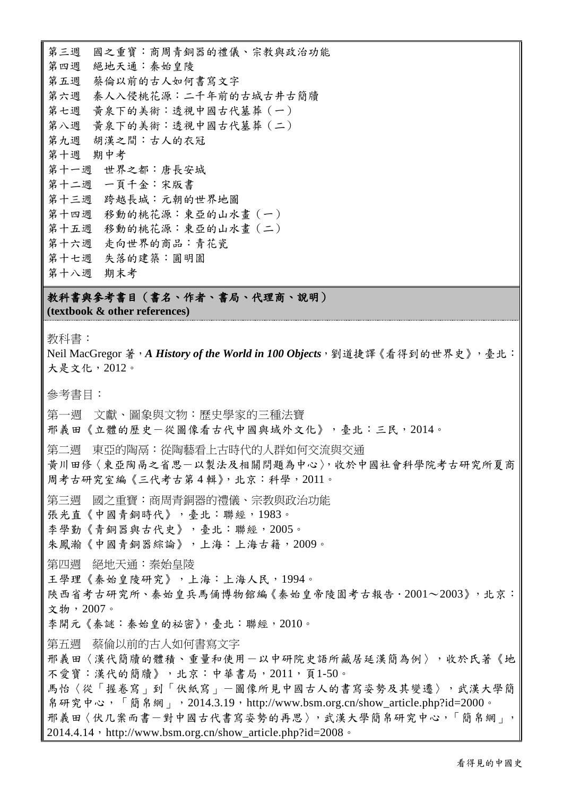第三週 國之重寶:商周青銅器的禮儀、宗教與政治功能 第四週 絕地天通:秦始皇陵 第五週 蔡倫以前的古人如何書寫文字 第六週 秦人入侵桃花源:二千年前的古城古井古簡牘 第七週 黃泉下的美術:透視中國古代墓葬(一) 第八週 黃泉下的美術:透視中國古代墓葬(二) 第九週 胡漢之間:古人的衣冠 第十週 期中考 第十一週 世界之都:唐長安城 第十二週 一頁千金:宋版書 第十三週 跨越長城:元朝的世界地圖 第十四週 移動的桃花源:東亞的山水畫(一) 第十五週 移動的桃花源:東亞的山水畫(二) 第十六週 走向世界的商品:青花瓷 第十七週 失落的建築:圓明園 第十八週 期末考

教科書與參考書目(書名、作者、書局、代理商、說明) **(textbook & other references)**

教科書:

Neil MacGregor 著,*A History of the World in 100 Objects*,劉道捷譯《看得到的世界史》,臺北: 大是文化,2012。

參考書目:

第一週 文獻、圖象與文物:歷史學家的三種法寶

邢義田《立體的歷史-從圖像看古代中國與域外文化》,臺北:三民,2014。

第二週 東亞的陶鬲: 從陶藝看上古時代的人群如何交流與交通

黃川田修〈東亞陶鬲之省思-以製法及相關問題為中心〉,收於中國社會科學院考古研究所夏商 周考古研究室編《三代考古第 4 輯》,北京:科學,2011。

第三週 國之重寶:商周青銅器的禮儀、宗教與政治功能

張光直《中國青銅時代》,臺北:聯經,1983。

李學勤《青銅器與古代史》,臺北:聯經,2005。

朱鳳瀚《中國青銅器綜論》,上海:上海古籍,2009。

第四週 絕地天通:秦始皇陵

王學理《秦始皇陵研究》,上海:上海人民,1994。

陜西省考古研究所、秦始皇兵馬俑博物館編《秦始皇帝陵園考古報告.2001~2003》,北京: 文物,2007。

李開元《秦謎:秦始皇的祕密》,臺北:聯經,2010。

第五週 蔡倫以前的古人如何書寫文字

邢義田〈漢代簡牘的體積、重量和使用-以中研院史語所藏居延漢簡為例〉,收於氏著《地 不愛寶:漢代的簡牘》,北京:中華書局,2011,頁1-50。

馬怡〈從「握卷寫」到「伏紙寫」-圖像所見中國古人的書寫姿勢及其變遷〉,武漢大學簡 帛研究中心,「簡帛網」,2014.3.19,http://www.bsm.org.cn/show\_article.php?id=2000。 邢義田〈伏几案而書一對中國古代書寫姿勢的再思〉,武漢大學簡帛研究中心,「簡帛網」,

2014.4.14,http://www.bsm.org.cn/show\_article.php?id=2008。